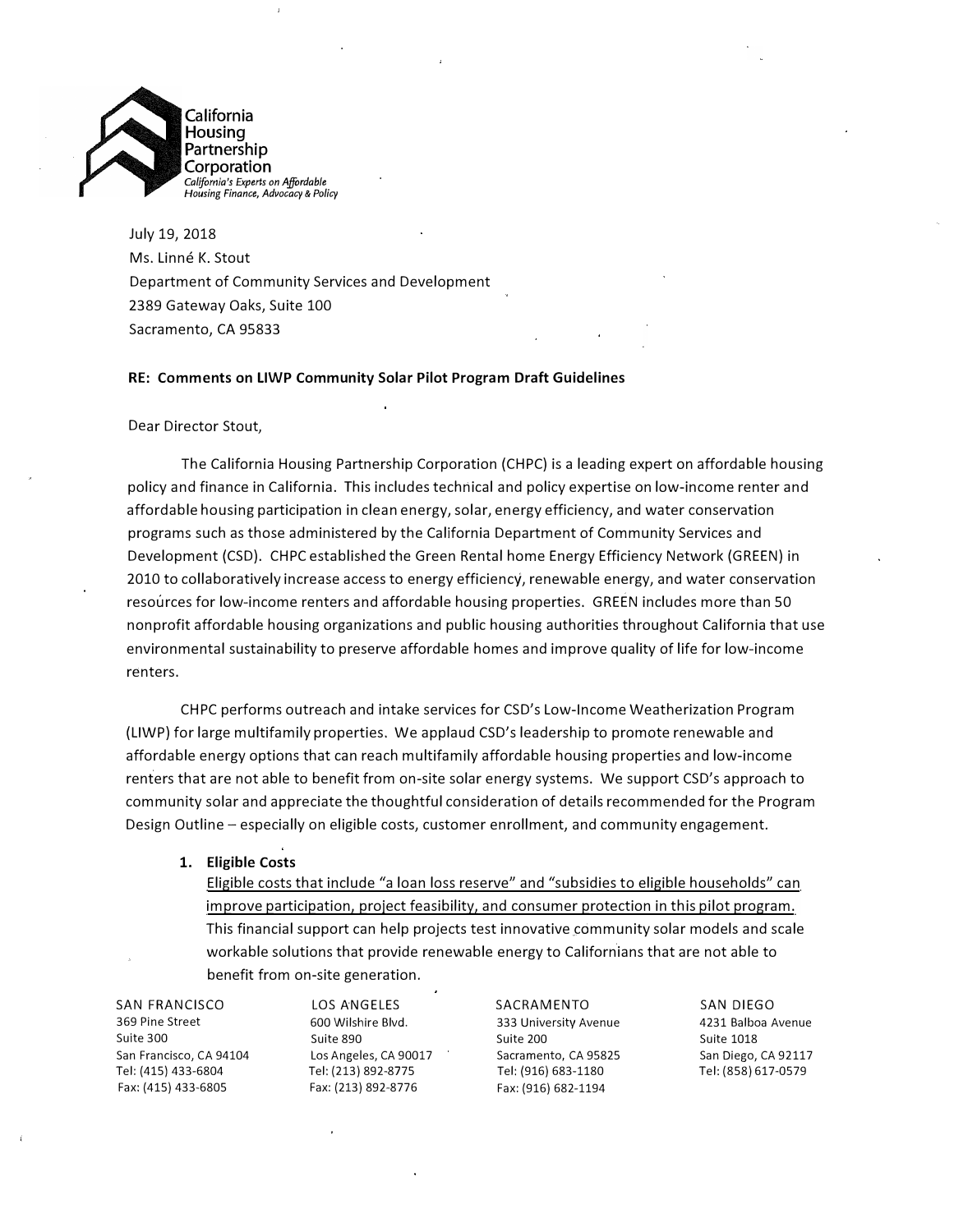

July 19, 2018 Ms. Linné K. Stout Department of Community Services and Development 2389 Gateway Oaks, Suite 100 Sacramento, CA 95833

### **RE: Comments on LIWP Community Solar Pilot Program Draft Guidelines**

### Dear Director Stout,

The California Housing Partnership Corporation (CHPC) is a leading expert on affordable housing policy and finance in California. This includes technical and policy expertise on low-income renter and affordable housing participation in clean energy, solar, energy efficiency, and water conservation programs such as those administered by the California Department of Community Services and Development (CSD). CHPC established the Green Rental home Energy Efficiency Network (GREEN) in 2010 to collaboratively increase access to energy efficiency, renewable energy, and water conservation resources for low-income renters and affordable housing properties. GREEN includes more than 50 nonprofit affordable housing organizations and public housing authorities throughout California that use environmental sustainability to preserve affordable homes and improve quality of life for low-income renters.

CHPC performs outreach and intake services for CSD's Low-Income Weatherization Program (LIWP) for large multifamily properties. We applaud CSD's leadership to promote renewable and affordable energy options that can reach multifamily affordable housing properties and low-income renters that are not able to benefit from on-site solar energy systems. We support CSD's approach to community solar and appreciate the thoughtful consideration of details recommended for the Program Design Outline - especially on eligible costs, customer enrollment, and community engagement.

### **1. Eligible Costs**

Eligible costs that include "a loan loss reserve" and "subsidies to eligible households" can improve participation, project feasibility, and consumer protection in this pilot program. This financial support can help projects test innovative community solar models and scale workable solutions that provide renewable energy to Californians that are not able to benefit from on-site generation.

**SAN FRANCISCO**  369 Pine Street Suite 300 San Francisco, CA 94104 Tel: (415) 433-6804 Fax: (415} 433-6805

LOS ANGELES 600 Wilshire Blvd. Suite 890 Los Angeles, CA 90017 Tel: (213} 892-8775 Fax: (213} 892-8776

SACRAMENTO 333 University Avenue Suite 200 Sacramento, CA 95825 Tel: {916} 683-1180 Fax: (916} 682-1194

SAN DIEGO 4231 Balboa Avenue Suite 1018 San Diego, CA 92117 Tel: (858} 617-0579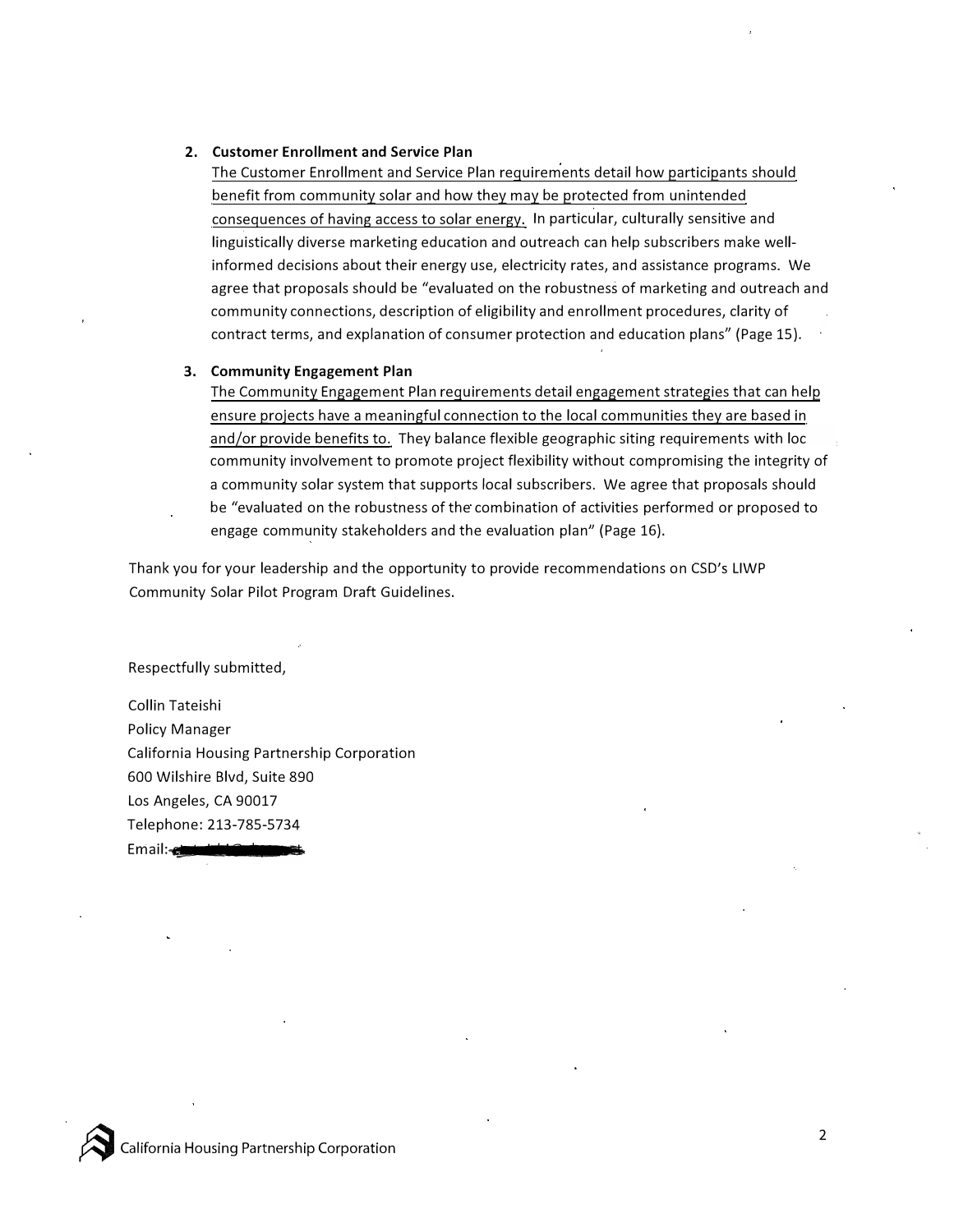## **2. Customer Enrollment and Service Plan**

The Customer Enrollment and Service Plan requirements detail how participants should benefit from community solar and how they may be protected from unintended consequences of having access to solar energy. In particular, culturally sensitive and linguistically diverse marketing education and outreach can help subscribers make wellinformed decisions about their energy use, electricity rates, and assistance programs. We agree that proposals should be "evaluated on the robustness of marketing and outreach and community connections, description of eligibility and enrollment procedures, clarity of contract terms, and explanation of consumer protection and education plans" (Page 15).

## **3. Community Engagement Plan**

The Community Engagement Plan requirements detail engagement strategies that can help ensure projects have a meaningful connection to the local communities they are based in and/or provide benefits to. They balance flexible geographic siting requirements with loc community involvement to promote project flexibility without compromising the integrity of a community solar system that supports local subscribers. We agree that proposals should be "evaluated on the robustness of the combination of activities performed or proposed to engage community stakeholders and the evaluation plan" (Page 16).

Thank you for your leadership and the opportunity to provide recommendations on *CSD<sup>1</sup> s* LIWP Community Solar Pilot Program Draft Guidelines.

Respectfully submitted,

Collin Tateishi Policy Manager California Housing Partnership Corporation 600 Wilshire Blvd, Suite 890 Los Angeles, CA 90017 Telephone: 213-785-5734 Email:

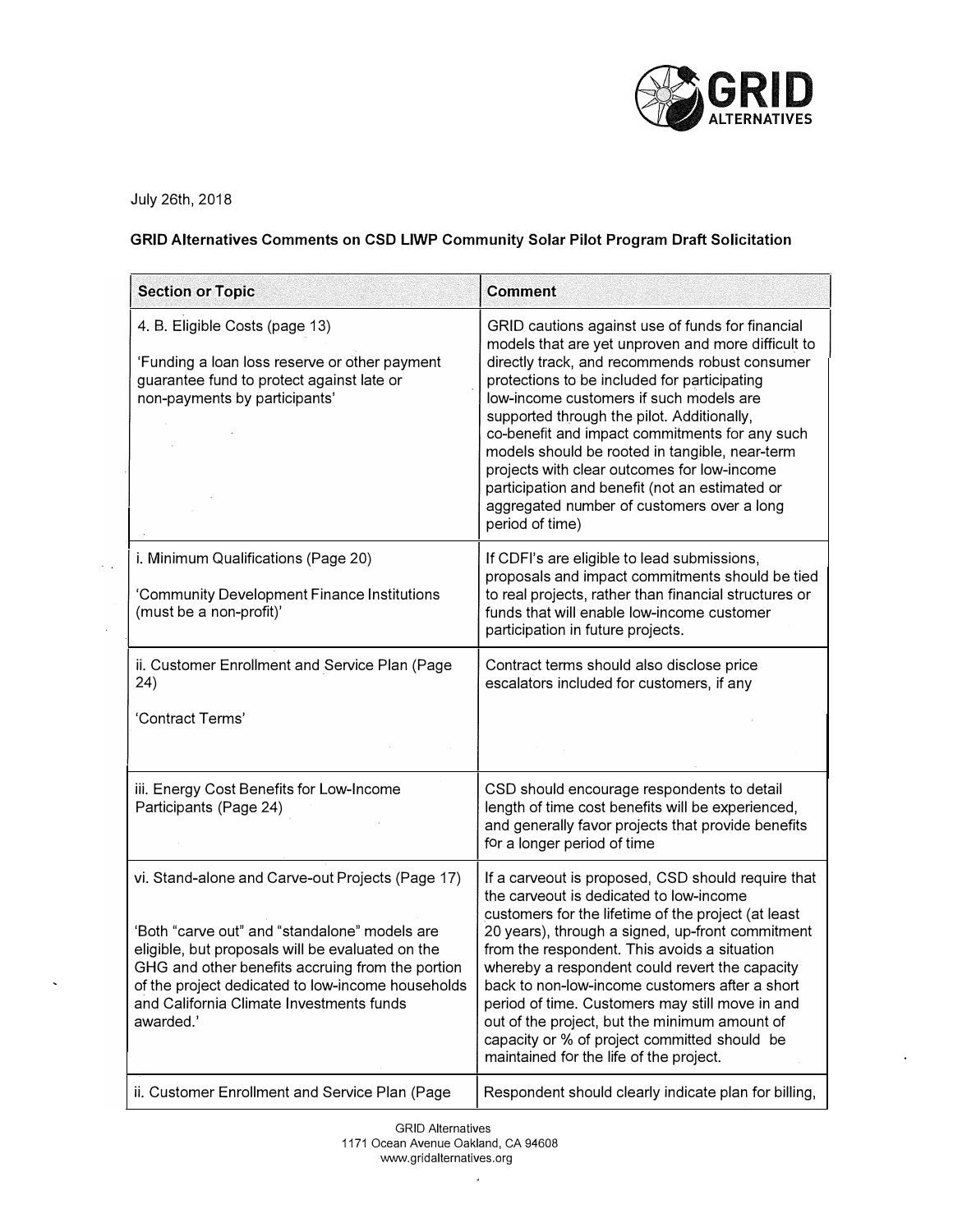

July 26th, 2018

 $\sim$   $\sim$ 

 $\ddot{\phantom{1}}$ 

## **GRID Alternatives Comments on CSD LIWP Community Solar Pilot Program Draft Solicitation**

| <b>Section or Topic</b>                                                                                                                                                                                                                                                                                                 | <b>Comment</b>                                                                                                                                                                                                                                                                                                                                                                                                                                                                                                                                                          |
|-------------------------------------------------------------------------------------------------------------------------------------------------------------------------------------------------------------------------------------------------------------------------------------------------------------------------|-------------------------------------------------------------------------------------------------------------------------------------------------------------------------------------------------------------------------------------------------------------------------------------------------------------------------------------------------------------------------------------------------------------------------------------------------------------------------------------------------------------------------------------------------------------------------|
| 4. B. Eligible Costs (page 13)<br>'Funding a loan loss reserve or other payment<br>guarantee fund to protect against late or<br>non-payments by participants'                                                                                                                                                           | GRID cautions against use of funds for financial<br>models that are yet unproven and more difficult to<br>directly track, and recommends robust consumer<br>protections to be included for participating<br>low-income customers if such models are<br>supported through the pilot. Additionally,<br>co-benefit and impact commitments for any such<br>models should be rooted in tangible, near-term<br>projects with clear outcomes for low-income<br>participation and benefit (not an estimated or<br>aggregated number of customers over a long<br>period of time) |
| i. Minimum Qualifications (Page 20)<br>'Community Development Finance Institutions<br>(must be a non-profit)'                                                                                                                                                                                                           | If CDFI's are eligible to lead submissions,<br>proposals and impact commitments should be tied<br>to real projects, rather than financial structures or<br>funds that will enable low-income customer<br>participation in future projects.                                                                                                                                                                                                                                                                                                                              |
| ii. Customer Enrollment and Service Plan (Page<br>24)<br>'Contract Terms'                                                                                                                                                                                                                                               | Contract terms should also disclose price<br>escalators included for customers, if any                                                                                                                                                                                                                                                                                                                                                                                                                                                                                  |
| iii. Energy Cost Benefits for Low-Income<br>Participants (Page 24)                                                                                                                                                                                                                                                      | CSD should encourage respondents to detail<br>length of time cost benefits will be experienced,<br>and generally favor projects that provide benefits<br>for a longer period of time                                                                                                                                                                                                                                                                                                                                                                                    |
| vi. Stand-alone and Carve-out Projects (Page 17)<br>'Both "carve out" and "standalone" models are<br>eligible, but proposals will be evaluated on the<br>GHG and other benefits accruing from the portion<br>of the project dedicated to low-income households<br>and California Climate Investments funds<br>awarded.' | If a carveout is proposed, CSD should require that<br>the carveout is dedicated to low-income<br>customers for the lifetime of the project (at least<br>20 years), through a signed, up-front commitment<br>from the respondent. This avoids a situation<br>whereby a respondent could revert the capacity<br>back to non-low-income customers after a short<br>period of time. Customers may still move in and<br>out of the project, but the minimum amount of<br>capacity or % of project committed should be<br>maintained for the life of the project.             |
| ii. Customer Enrollment and Service Plan (Page                                                                                                                                                                                                                                                                          | Respondent should clearly indicate plan for billing,                                                                                                                                                                                                                                                                                                                                                                                                                                                                                                                    |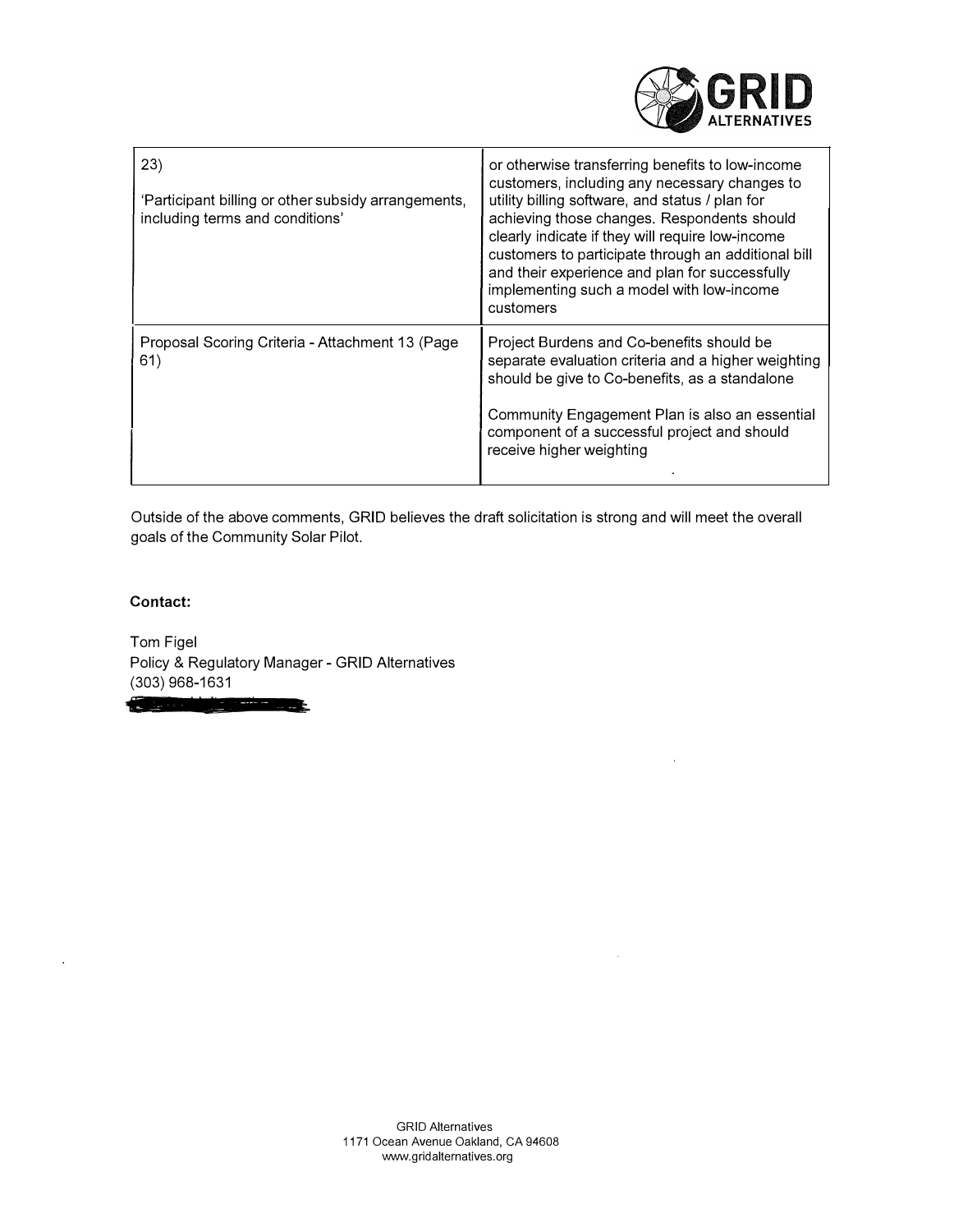| <b>ALTERNATIVES</b> |
|---------------------|

| 23)<br>'Participant billing or other subsidy arrangements,<br>including terms and conditions' | or otherwise transferring benefits to low-income<br>customers, including any necessary changes to<br>utility billing software, and status / plan for<br>achieving those changes. Respondents should<br>clearly indicate if they will require low-income<br>customers to participate through an additional bill<br>and their experience and plan for successfully<br>implementing such a model with low-income<br>customers |
|-----------------------------------------------------------------------------------------------|----------------------------------------------------------------------------------------------------------------------------------------------------------------------------------------------------------------------------------------------------------------------------------------------------------------------------------------------------------------------------------------------------------------------------|
| Proposal Scoring Criteria - Attachment 13 (Page<br>61)                                        | Project Burdens and Co-benefits should be<br>separate evaluation criteria and a higher weighting<br>should be give to Co-benefits, as a standalone<br>Community Engagement Plan is also an essential<br>component of a successful project and should<br>receive higher weighting                                                                                                                                           |

Outside of the above comments, GRID believes the draft solicitation is strong and will meet the overall goals of the Community Solar Pilot.

**Contact:** 

ä,

**Committee of the Committee of the Committee of the Committee of the Committee of the Committee of the Committee** 

Tom Figel Policy & Regulatory Manager - GRID Alternatives (303) 968-1631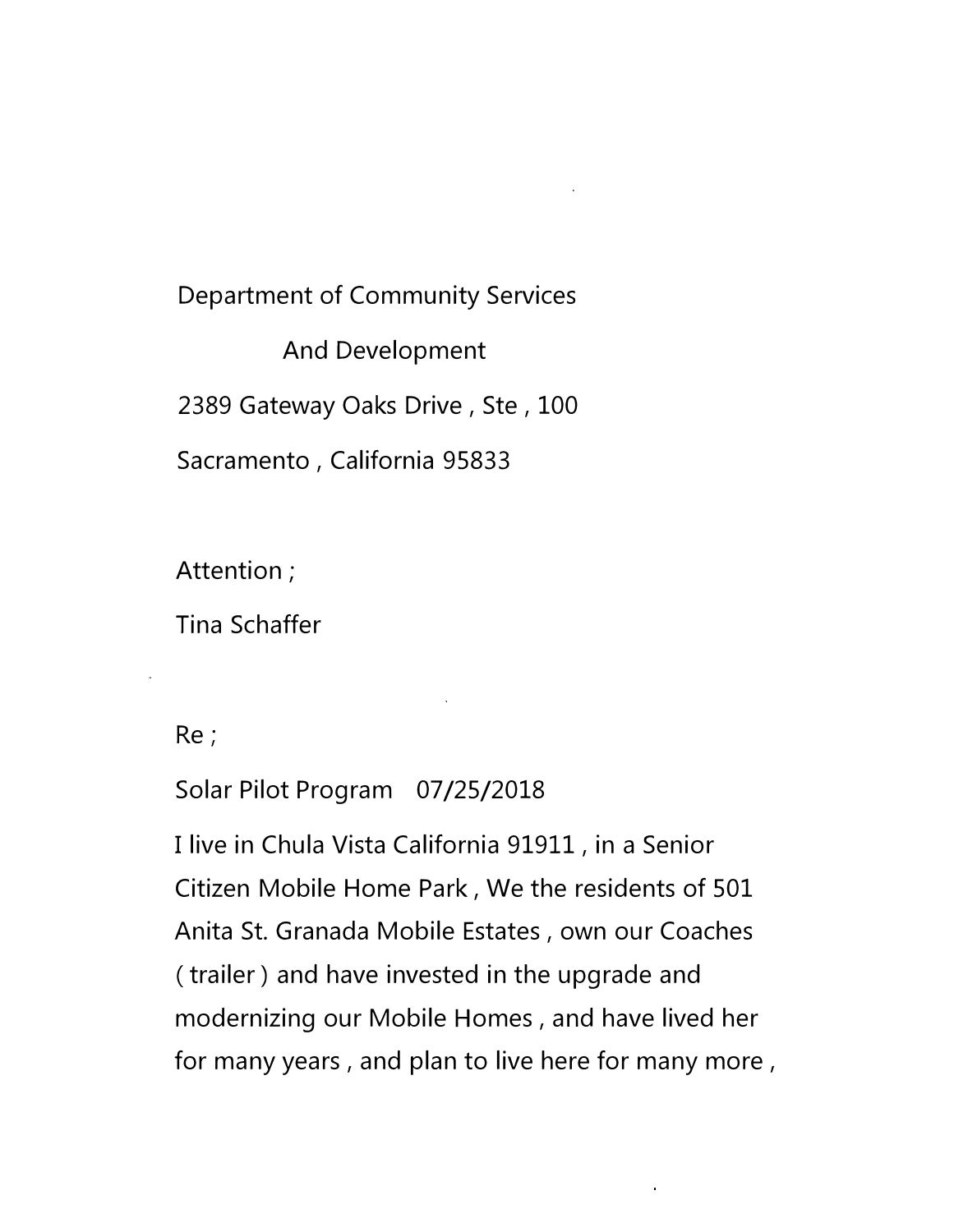# Department of Community Services

And Development 2389 Gateway Oaks Drive, Ste, 100 Sacramento , California 95833

Attention;

Tina Schaffer

Re;

Solar Pilot Program 07/25/2018

I live in Chula Vista California 91911, in a Senior Citizen Mobile Home Park, We the residents of 501 Anita St. Granada Mobile Estates , own our Coaches (trailer) and have invested in the upgrade and modernizing our Mobile Homes, and have lived her for many years , and plan to live here for many more,